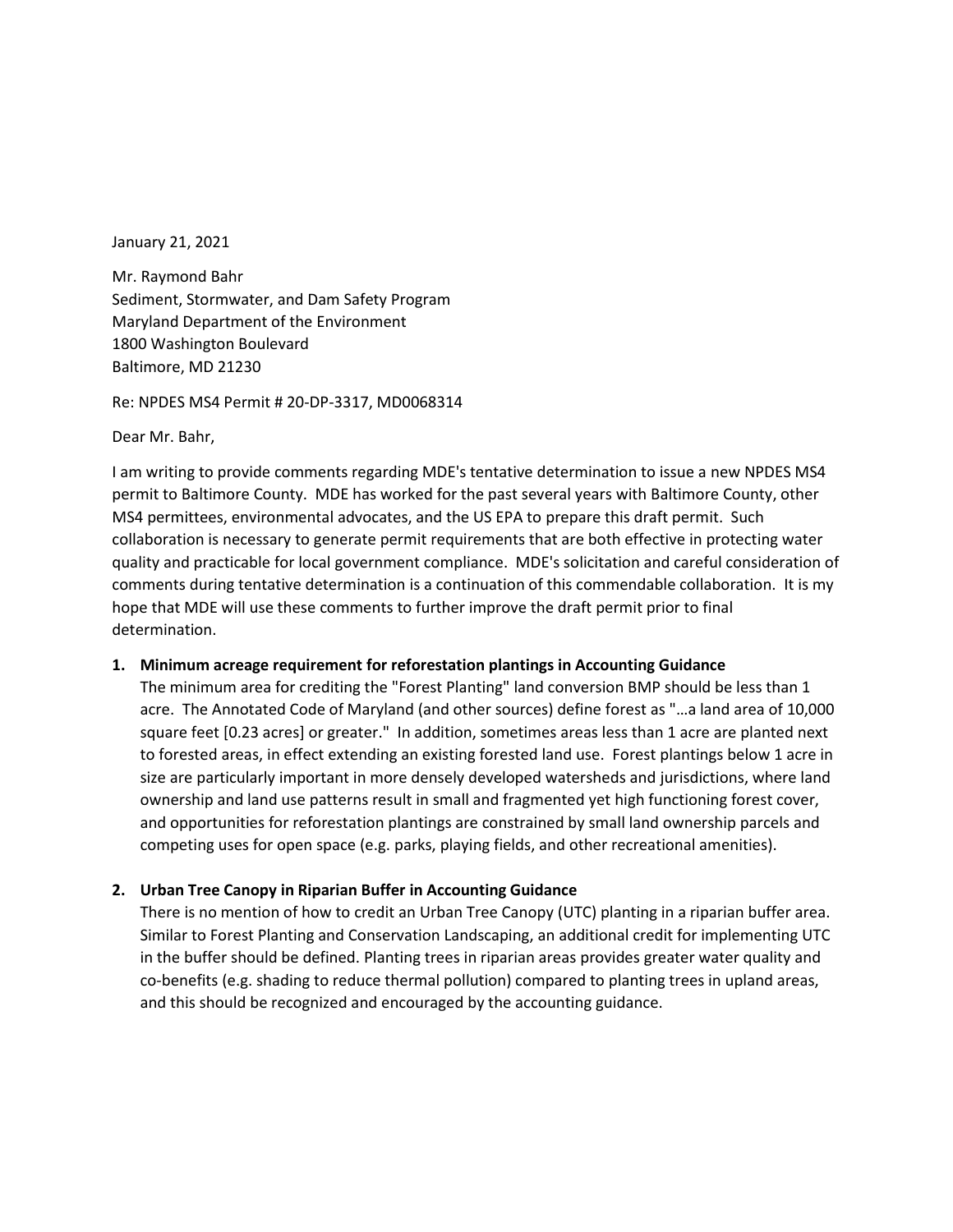January 21, 2021

Mr. Raymond Bahr Sediment, Stormwater, and Dam Safety Program Maryland Department of the Environment 1800 Washington Boulevard Baltimore, MD 21230

Re: NPDES MS4 Permit # 20-DP-3317, MD0068314

Dear Mr. Bahr,

I am writing to provide comments regarding MDE's tentative determination to issue a new NPDES MS4 permit to Baltimore County. MDE has worked for the past several years with Baltimore County, other MS4 permittees, environmental advocates, and the US EPA to prepare this draft permit. Such collaboration is necessary to generate permit requirements that are both effective in protecting water quality and practicable for local government compliance. MDE's solicitation and careful consideration of comments during tentative determination is a continuation of this commendable collaboration. It is my hope that MDE will use these comments to further improve the draft permit prior to final determination.

#### **1. Minimum acreage requirement for reforestation plantings in Accounting Guidance**

The minimum area for crediting the "Forest Planting" land conversion BMP should be less than 1 acre. The Annotated Code of Maryland (and other sources) define forest as "…a land area of 10,000 square feet [0.23 acres] or greater." In addition, sometimes areas less than 1 acre are planted next to forested areas, in effect extending an existing forested land use. Forest plantings below 1 acre in size are particularly important in more densely developed watersheds and jurisdictions, where land ownership and land use patterns result in small and fragmented yet high functioning forest cover, and opportunities for reforestation plantings are constrained by small land ownership parcels and competing uses for open space (e.g. parks, playing fields, and other recreational amenities).

#### **2. Urban Tree Canopy in Riparian Buffer in Accounting Guidance**

There is no mention of how to credit an Urban Tree Canopy (UTC) planting in a riparian buffer area. Similar to Forest Planting and Conservation Landscaping, an additional credit for implementing UTC in the buffer should be defined. Planting trees in riparian areas provides greater water quality and co-benefits (e.g. shading to reduce thermal pollution) compared to planting trees in upland areas, and this should be recognized and encouraged by the accounting guidance.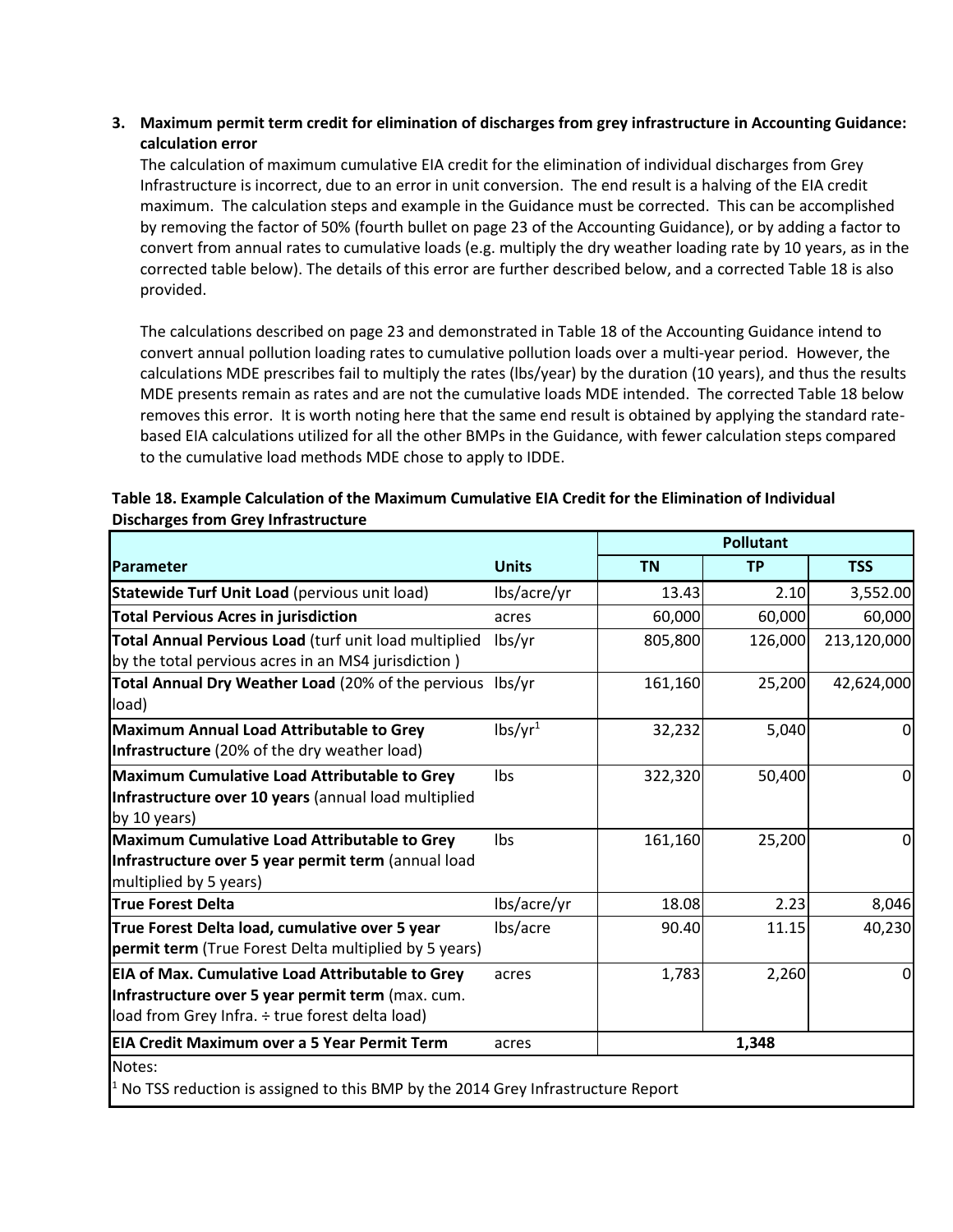### **3. Maximum permit term credit for elimination of discharges from grey infrastructure in Accounting Guidance: calculation error**

The calculation of maximum cumulative EIA credit for the elimination of individual discharges from Grey Infrastructure is incorrect, due to an error in unit conversion. The end result is a halving of the EIA credit maximum. The calculation steps and example in the Guidance must be corrected. This can be accomplished by removing the factor of 50% (fourth bullet on page 23 of the Accounting Guidance), or by adding a factor to convert from annual rates to cumulative loads (e.g. multiply the dry weather loading rate by 10 years, as in the corrected table below). The details of this error are further described below, and a corrected Table 18 is also provided.

The calculations described on page 23 and demonstrated in Table 18 of the Accounting Guidance intend to convert annual pollution loading rates to cumulative pollution loads over a multi-year period. However, the calculations MDE prescribes fail to multiply the rates (lbs/year) by the duration (10 years), and thus the results MDE presents remain as rates and are not the cumulative loads MDE intended. The corrected Table 18 below removes this error. It is worth noting here that the same end result is obtained by applying the standard ratebased EIA calculations utilized for all the other BMPs in the Guidance, with fewer calculation steps compared to the cumulative load methods MDE chose to apply to IDDE.

|                                                                                                                                                          |                     | <b>Pollutant</b> |           |             |
|----------------------------------------------------------------------------------------------------------------------------------------------------------|---------------------|------------------|-----------|-------------|
| Parameter                                                                                                                                                | <b>Units</b>        | <b>TN</b>        | <b>TP</b> | <b>TSS</b>  |
| Statewide Turf Unit Load (pervious unit load)                                                                                                            | lbs/acre/yr         | 13.43            | 2.10      | 3,552.00    |
| <b>Total Pervious Acres in jurisdiction</b>                                                                                                              | acres               | 60,000           | 60,000    | 60,000      |
| Total Annual Pervious Load (turf unit load multiplied                                                                                                    | lbs/yr              | 805,800          | 126,000   | 213,120,000 |
| by the total pervious acres in an MS4 jurisdiction)                                                                                                      |                     |                  |           |             |
| Total Annual Dry Weather Load (20% of the pervious lbs/yr<br>load)                                                                                       |                     | 161,160          | 25,200    | 42,624,000  |
| Maximum Annual Load Attributable to Grey<br>Infrastructure (20% of the dry weather load)                                                                 | lbs/yr <sup>1</sup> | 32,232           | 5,040     | $\mathbf 0$ |
| Maximum Cumulative Load Attributable to Grey<br>Infrastructure over 10 years (annual load multiplied<br>by 10 years)                                     | Ibs                 | 322,320          | 50,400    | $\mathbf 0$ |
| Maximum Cumulative Load Attributable to Grey<br>Infrastructure over 5 year permit term (annual load<br>multiplied by 5 years)                            | <b>lbs</b>          | 161,160          | 25,200    | $\mathbf 0$ |
| <b>True Forest Delta</b>                                                                                                                                 | lbs/acre/yr         | 18.08            | 2.23      | 8,046       |
| True Forest Delta load, cumulative over 5 year<br>permit term (True Forest Delta multiplied by 5 years)                                                  | lbs/acre            | 90.40            | 11.15     | 40,230      |
| EIA of Max. Cumulative Load Attributable to Grey<br>Infrastructure over 5 year permit term (max. cum.<br>load from Grey Infra. ÷ true forest delta load) | acres               | 1,783            | 2,260     | $\mathbf 0$ |
| EIA Credit Maximum over a 5 Year Permit Term                                                                                                             | acres               |                  | 1,348     |             |
| Notes:<br>$1$ No TSS reduction is assigned to this BMP by the 2014 Grey Infrastructure Report                                                            |                     |                  |           |             |

## **Table 18. Example Calculation of the Maximum Cumulative EIA Credit for the Elimination of Individual Discharges from Grey Infrastructure**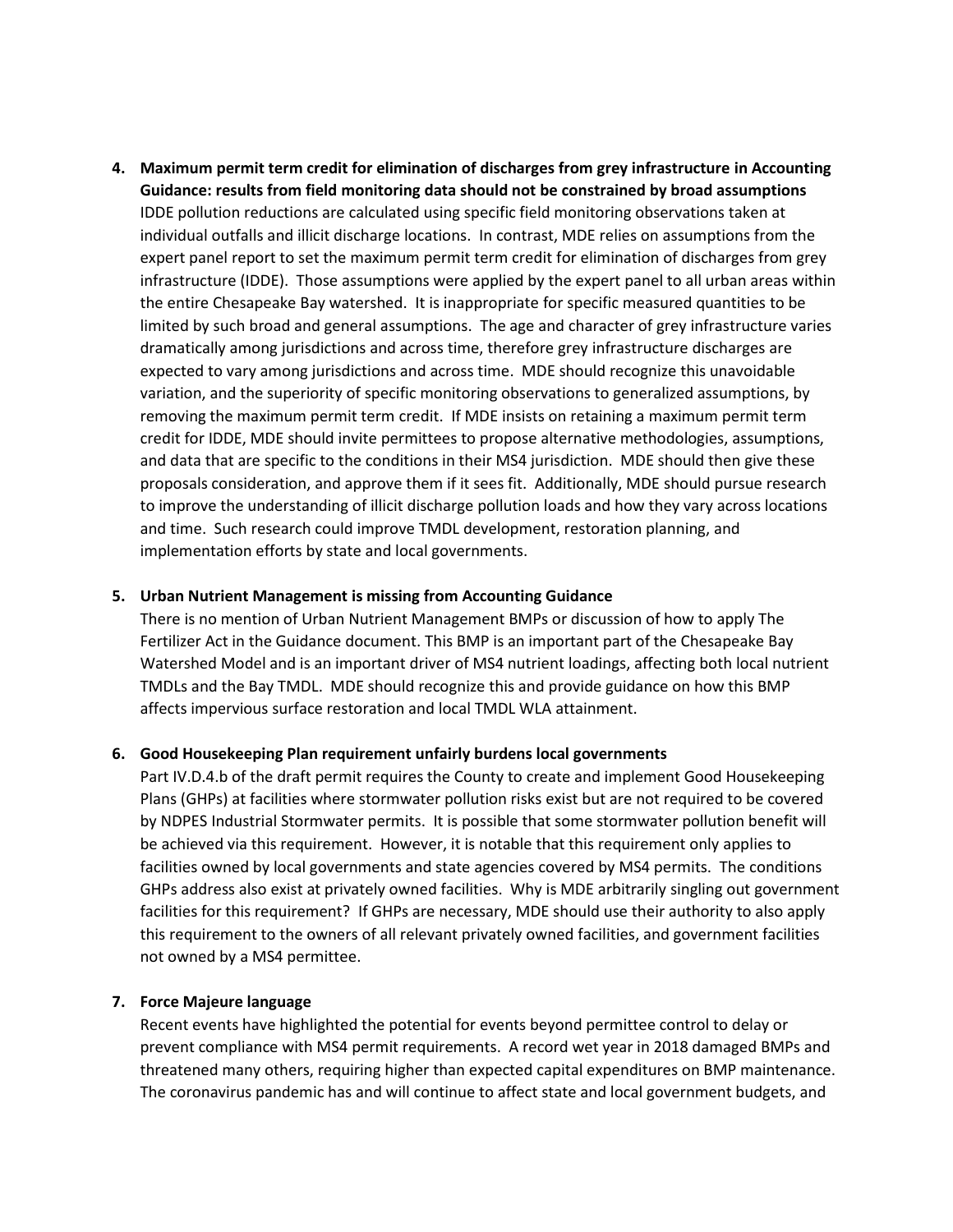**4. Maximum permit term credit for elimination of discharges from grey infrastructure in Accounting Guidance: results from field monitoring data should not be constrained by broad assumptions** IDDE pollution reductions are calculated using specific field monitoring observations taken at individual outfalls and illicit discharge locations. In contrast, MDE relies on assumptions from the expert panel report to set the maximum permit term credit for elimination of discharges from grey infrastructure (IDDE). Those assumptions were applied by the expert panel to all urban areas within the entire Chesapeake Bay watershed. It is inappropriate for specific measured quantities to be limited by such broad and general assumptions. The age and character of grey infrastructure varies dramatically among jurisdictions and across time, therefore grey infrastructure discharges are expected to vary among jurisdictions and across time. MDE should recognize this unavoidable variation, and the superiority of specific monitoring observations to generalized assumptions, by removing the maximum permit term credit. If MDE insists on retaining a maximum permit term credit for IDDE, MDE should invite permittees to propose alternative methodologies, assumptions, and data that are specific to the conditions in their MS4 jurisdiction. MDE should then give these proposals consideration, and approve them if it sees fit. Additionally, MDE should pursue research to improve the understanding of illicit discharge pollution loads and how they vary across locations and time. Such research could improve TMDL development, restoration planning, and implementation efforts by state and local governments.

#### **5. Urban Nutrient Management is missing from Accounting Guidance**

There is no mention of Urban Nutrient Management BMPs or discussion of how to apply The Fertilizer Act in the Guidance document. This BMP is an important part of the Chesapeake Bay Watershed Model and is an important driver of MS4 nutrient loadings, affecting both local nutrient TMDLs and the Bay TMDL. MDE should recognize this and provide guidance on how this BMP affects impervious surface restoration and local TMDL WLA attainment.

#### **6. Good Housekeeping Plan requirement unfairly burdens local governments**

Part IV.D.4.b of the draft permit requires the County to create and implement Good Housekeeping Plans (GHPs) at facilities where stormwater pollution risks exist but are not required to be covered by NDPES Industrial Stormwater permits. It is possible that some stormwater pollution benefit will be achieved via this requirement. However, it is notable that this requirement only applies to facilities owned by local governments and state agencies covered by MS4 permits. The conditions GHPs address also exist at privately owned facilities. Why is MDE arbitrarily singling out government facilities for this requirement? If GHPs are necessary, MDE should use their authority to also apply this requirement to the owners of all relevant privately owned facilities, and government facilities not owned by a MS4 permittee.

#### **7. Force Majeure language**

Recent events have highlighted the potential for events beyond permittee control to delay or prevent compliance with MS4 permit requirements. A record wet year in 2018 damaged BMPs and threatened many others, requiring higher than expected capital expenditures on BMP maintenance. The coronavirus pandemic has and will continue to affect state and local government budgets, and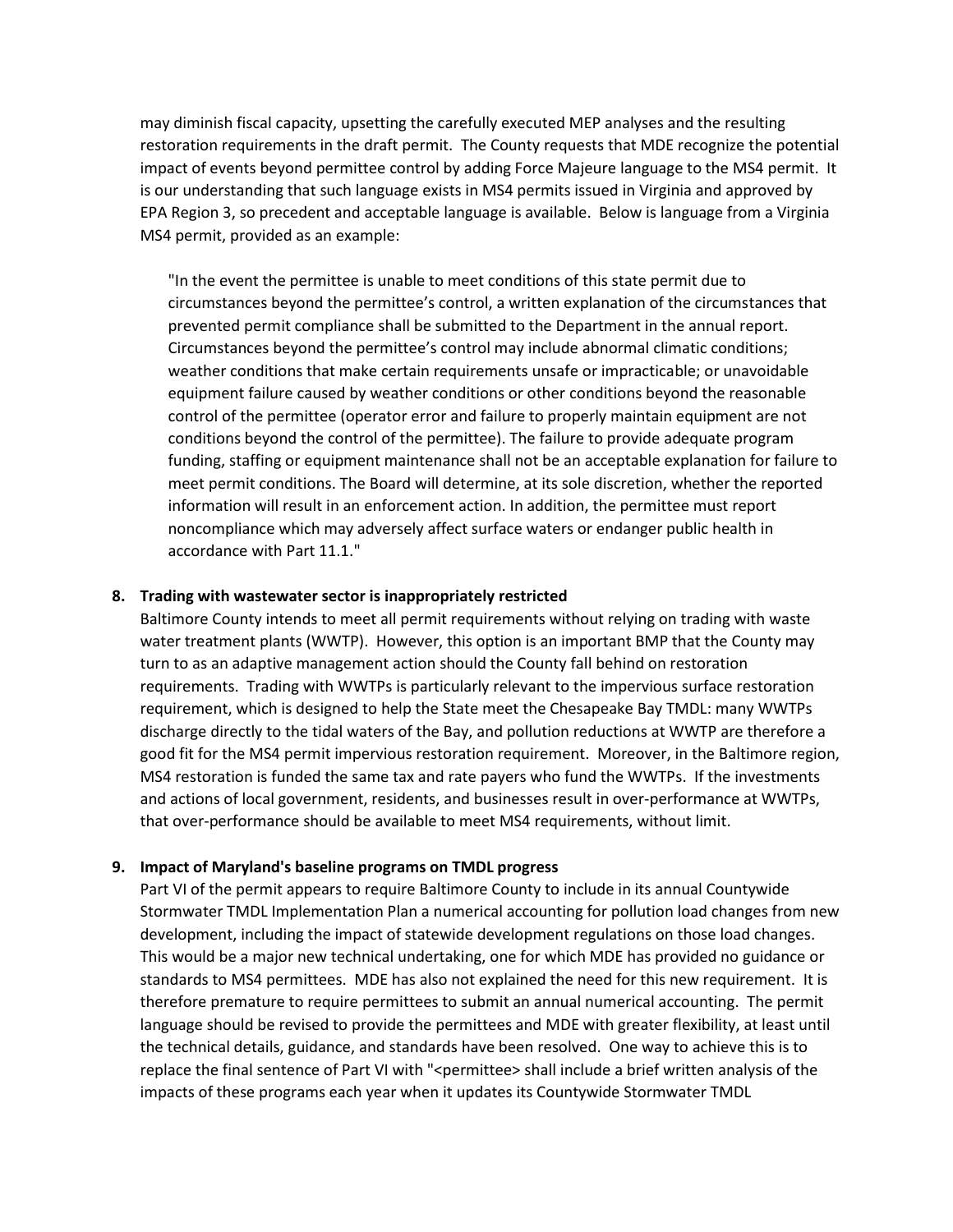may diminish fiscal capacity, upsetting the carefully executed MEP analyses and the resulting restoration requirements in the draft permit. The County requests that MDE recognize the potential impact of events beyond permittee control by adding Force Majeure language to the MS4 permit. It is our understanding that such language exists in MS4 permits issued in Virginia and approved by EPA Region 3, so precedent and acceptable language is available. Below is language from a Virginia MS4 permit, provided as an example:

"In the event the permittee is unable to meet conditions of this state permit due to circumstances beyond the permittee's control, a written explanation of the circumstances that prevented permit compliance shall be submitted to the Department in the annual report. Circumstances beyond the permittee's control may include abnormal climatic conditions; weather conditions that make certain requirements unsafe or impracticable; or unavoidable equipment failure caused by weather conditions or other conditions beyond the reasonable control of the permittee (operator error and failure to properly maintain equipment are not conditions beyond the control of the permittee). The failure to provide adequate program funding, staffing or equipment maintenance shall not be an acceptable explanation for failure to meet permit conditions. The Board will determine, at its sole discretion, whether the reported information will result in an enforcement action. In addition, the permittee must report noncompliance which may adversely affect surface waters or endanger public health in accordance with Part 11.1."

#### **8. Trading with wastewater sector is inappropriately restricted**

Baltimore County intends to meet all permit requirements without relying on trading with waste water treatment plants (WWTP). However, this option is an important BMP that the County may turn to as an adaptive management action should the County fall behind on restoration requirements. Trading with WWTPs is particularly relevant to the impervious surface restoration requirement, which is designed to help the State meet the Chesapeake Bay TMDL: many WWTPs discharge directly to the tidal waters of the Bay, and pollution reductions at WWTP are therefore a good fit for the MS4 permit impervious restoration requirement. Moreover, in the Baltimore region, MS4 restoration is funded the same tax and rate payers who fund the WWTPs. If the investments and actions of local government, residents, and businesses result in over-performance at WWTPs, that over-performance should be available to meet MS4 requirements, without limit.

#### **9. Impact of Maryland's baseline programs on TMDL progress**

Part VI of the permit appears to require Baltimore County to include in its annual Countywide Stormwater TMDL Implementation Plan a numerical accounting for pollution load changes from new development, including the impact of statewide development regulations on those load changes. This would be a major new technical undertaking, one for which MDE has provided no guidance or standards to MS4 permittees. MDE has also not explained the need for this new requirement. It is therefore premature to require permittees to submit an annual numerical accounting. The permit language should be revised to provide the permittees and MDE with greater flexibility, at least until the technical details, guidance, and standards have been resolved. One way to achieve this is to replace the final sentence of Part VI with "<permittee> shall include a brief written analysis of the impacts of these programs each year when it updates its Countywide Stormwater TMDL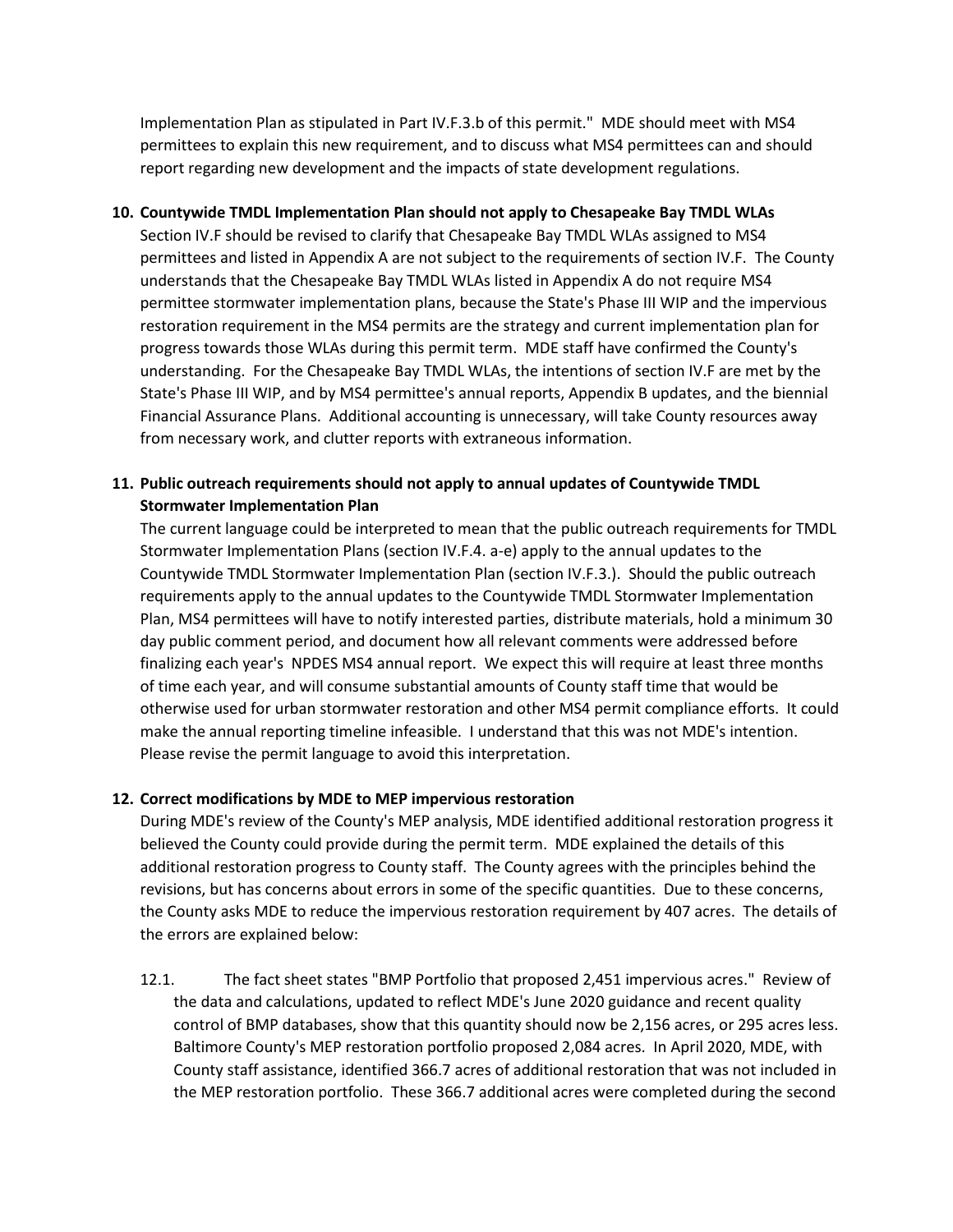Implementation Plan as stipulated in Part IV.F.3.b of this permit." MDE should meet with MS4 permittees to explain this new requirement, and to discuss what MS4 permittees can and should report regarding new development and the impacts of state development regulations.

#### **10. Countywide TMDL Implementation Plan should not apply to Chesapeake Bay TMDL WLAs**

Section IV.F should be revised to clarify that Chesapeake Bay TMDL WLAs assigned to MS4 permittees and listed in Appendix A are not subject to the requirements of section IV.F. The County understands that the Chesapeake Bay TMDL WLAs listed in Appendix A do not require MS4 permittee stormwater implementation plans, because the State's Phase III WIP and the impervious restoration requirement in the MS4 permits are the strategy and current implementation plan for progress towards those WLAs during this permit term. MDE staff have confirmed the County's understanding. For the Chesapeake Bay TMDL WLAs, the intentions of section IV.F are met by the State's Phase III WIP, and by MS4 permittee's annual reports, Appendix B updates, and the biennial Financial Assurance Plans. Additional accounting is unnecessary, will take County resources away from necessary work, and clutter reports with extraneous information.

## **11. Public outreach requirements should not apply to annual updates of Countywide TMDL Stormwater Implementation Plan**

The current language could be interpreted to mean that the public outreach requirements for TMDL Stormwater Implementation Plans (section IV.F.4. a-e) apply to the annual updates to the Countywide TMDL Stormwater Implementation Plan (section IV.F.3.). Should the public outreach requirements apply to the annual updates to the Countywide TMDL Stormwater Implementation Plan, MS4 permittees will have to notify interested parties, distribute materials, hold a minimum 30 day public comment period, and document how all relevant comments were addressed before finalizing each year's NPDES MS4 annual report. We expect this will require at least three months of time each year, and will consume substantial amounts of County staff time that would be otherwise used for urban stormwater restoration and other MS4 permit compliance efforts. It could make the annual reporting timeline infeasible. I understand that this was not MDE's intention. Please revise the permit language to avoid this interpretation.

## **12. Correct modifications by MDE to MEP impervious restoration**

During MDE's review of the County's MEP analysis, MDE identified additional restoration progress it believed the County could provide during the permit term. MDE explained the details of this additional restoration progress to County staff. The County agrees with the principles behind the revisions, but has concerns about errors in some of the specific quantities. Due to these concerns, the County asks MDE to reduce the impervious restoration requirement by 407 acres. The details of the errors are explained below:

12.1. The fact sheet states "BMP Portfolio that proposed 2,451 impervious acres." Review of the data and calculations, updated to reflect MDE's June 2020 guidance and recent quality control of BMP databases, show that this quantity should now be 2,156 acres, or 295 acres less. Baltimore County's MEP restoration portfolio proposed 2,084 acres. In April 2020, MDE, with County staff assistance, identified 366.7 acres of additional restoration that was not included in the MEP restoration portfolio. These 366.7 additional acres were completed during the second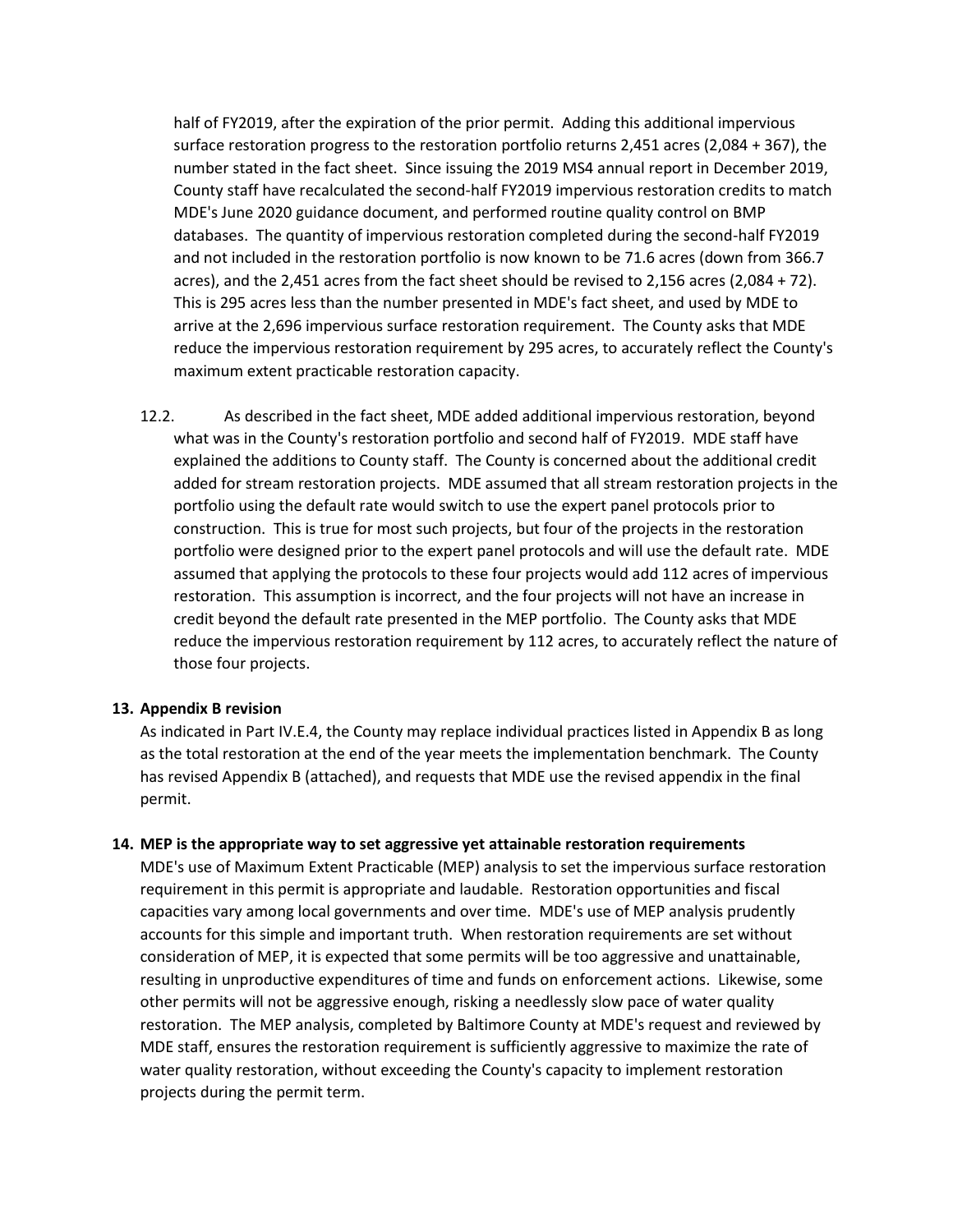half of FY2019, after the expiration of the prior permit. Adding this additional impervious surface restoration progress to the restoration portfolio returns 2,451 acres (2,084 + 367), the number stated in the fact sheet. Since issuing the 2019 MS4 annual report in December 2019, County staff have recalculated the second-half FY2019 impervious restoration credits to match MDE's June 2020 guidance document, and performed routine quality control on BMP databases. The quantity of impervious restoration completed during the second-half FY2019 and not included in the restoration portfolio is now known to be 71.6 acres (down from 366.7 acres), and the 2,451 acres from the fact sheet should be revised to 2,156 acres (2,084 + 72). This is 295 acres less than the number presented in MDE's fact sheet, and used by MDE to arrive at the 2,696 impervious surface restoration requirement. The County asks that MDE reduce the impervious restoration requirement by 295 acres, to accurately reflect the County's maximum extent practicable restoration capacity.

12.2. As described in the fact sheet, MDE added additional impervious restoration, beyond what was in the County's restoration portfolio and second half of FY2019. MDE staff have explained the additions to County staff. The County is concerned about the additional credit added for stream restoration projects. MDE assumed that all stream restoration projects in the portfolio using the default rate would switch to use the expert panel protocols prior to construction. This is true for most such projects, but four of the projects in the restoration portfolio were designed prior to the expert panel protocols and will use the default rate. MDE assumed that applying the protocols to these four projects would add 112 acres of impervious restoration. This assumption is incorrect, and the four projects will not have an increase in credit beyond the default rate presented in the MEP portfolio. The County asks that MDE reduce the impervious restoration requirement by 112 acres, to accurately reflect the nature of those four projects.

#### **13. Appendix B revision**

As indicated in Part IV.E.4, the County may replace individual practices listed in Appendix B as long as the total restoration at the end of the year meets the implementation benchmark. The County has revised Appendix B (attached), and requests that MDE use the revised appendix in the final permit.

#### **14. MEP is the appropriate way to set aggressive yet attainable restoration requirements**

MDE's use of Maximum Extent Practicable (MEP) analysis to set the impervious surface restoration requirement in this permit is appropriate and laudable. Restoration opportunities and fiscal capacities vary among local governments and over time. MDE's use of MEP analysis prudently accounts for this simple and important truth. When restoration requirements are set without consideration of MEP, it is expected that some permits will be too aggressive and unattainable, resulting in unproductive expenditures of time and funds on enforcement actions. Likewise, some other permits will not be aggressive enough, risking a needlessly slow pace of water quality restoration. The MEP analysis, completed by Baltimore County at MDE's request and reviewed by MDE staff, ensures the restoration requirement is sufficiently aggressive to maximize the rate of water quality restoration, without exceeding the County's capacity to implement restoration projects during the permit term.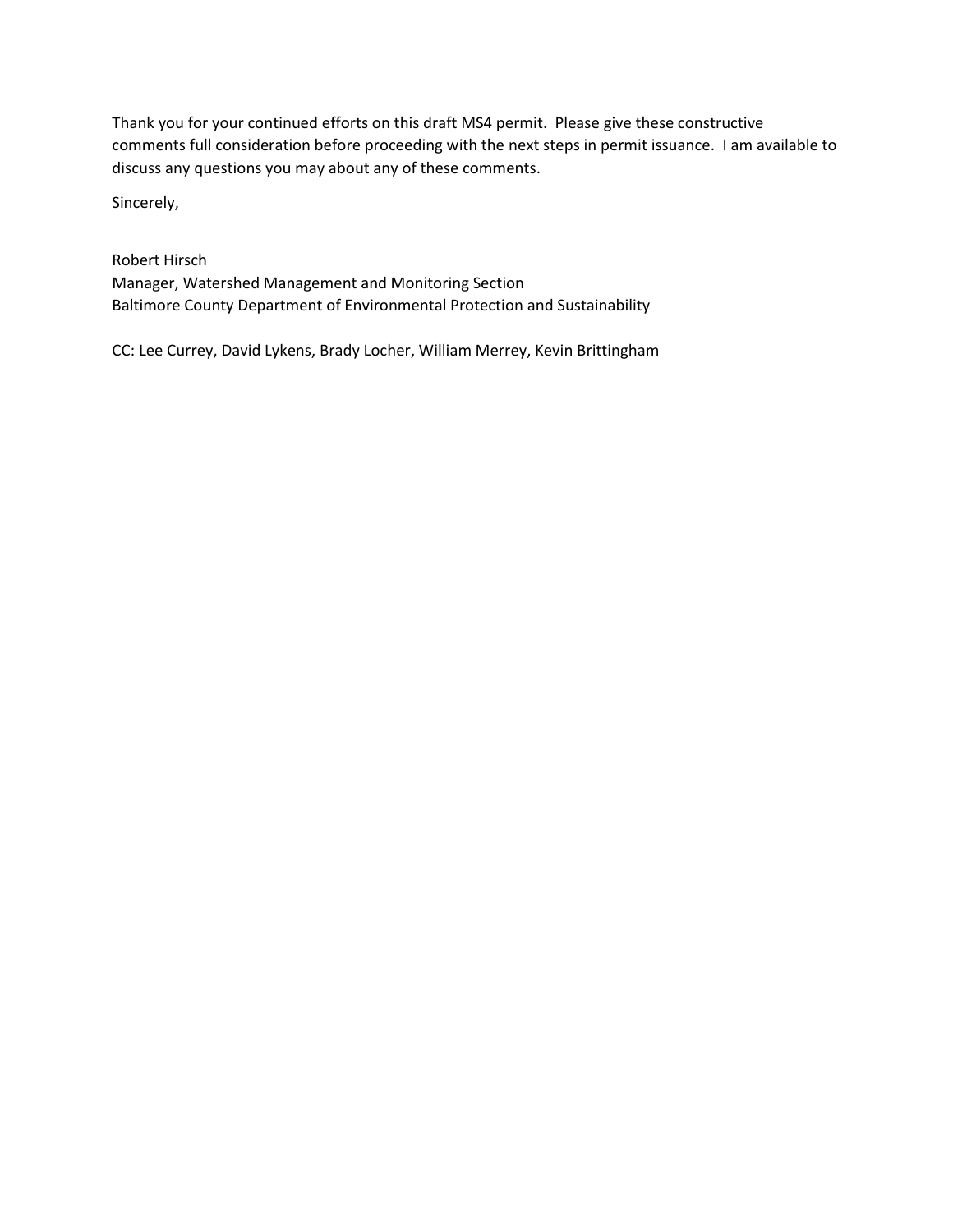Thank you for your continued efforts on this draft MS4 permit. Please give these constructive comments full consideration before proceeding with the next steps in permit issuance. I am available to discuss any questions you may about any of these comments.

Sincerely,

Robert Hirsch Manager, Watershed Management and Monitoring Section Baltimore County Department of Environmental Protection and Sustainability

CC: Lee Currey, David Lykens, Brady Locher, William Merrey, Kevin Brittingham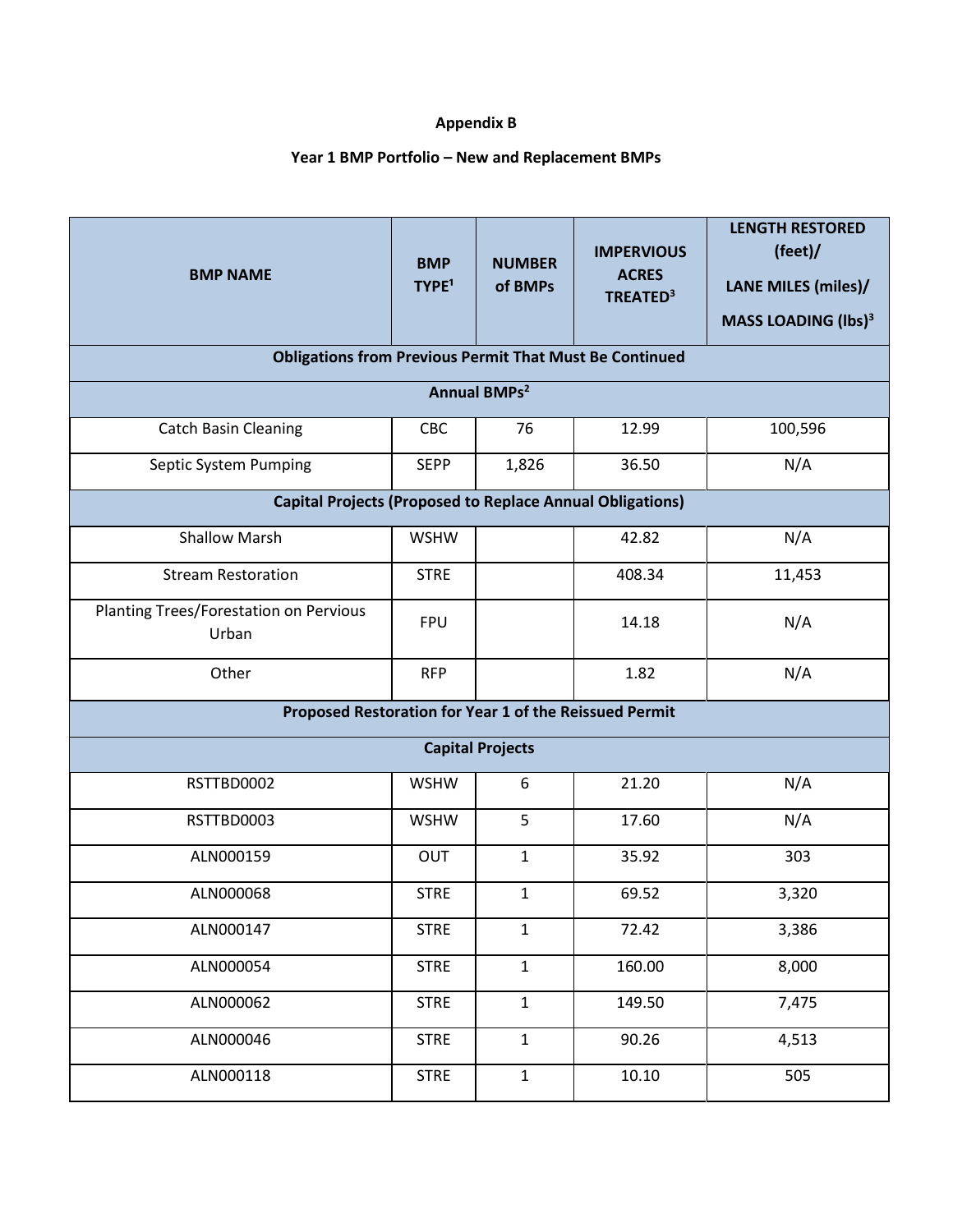# **Appendix B**

## **Year 1 BMP Portfolio – New and Replacement BMPs**

| <b>BMP NAME</b>                                                  | <b>BMP</b><br>TYPE <sup>1</sup> | <b>NUMBER</b><br>of BMPs | <b>IMPERVIOUS</b><br><b>ACRES</b><br>TREATED <sup>3</sup> | <b>LENGTH RESTORED</b><br>(feet)<br>LANE MILES (miles)/ |  |
|------------------------------------------------------------------|---------------------------------|--------------------------|-----------------------------------------------------------|---------------------------------------------------------|--|
|                                                                  |                                 |                          |                                                           | <b>MASS LOADING (lbs)<sup>3</sup></b>                   |  |
| <b>Obligations from Previous Permit That Must Be Continued</b>   |                                 |                          |                                                           |                                                         |  |
| <b>Annual BMPs<sup>2</sup></b>                                   |                                 |                          |                                                           |                                                         |  |
| <b>Catch Basin Cleaning</b>                                      | <b>CBC</b>                      | 76                       | 12.99                                                     | 100,596                                                 |  |
| Septic System Pumping                                            | <b>SEPP</b>                     | 1,826                    | 36.50                                                     | N/A                                                     |  |
| <b>Capital Projects (Proposed to Replace Annual Obligations)</b> |                                 |                          |                                                           |                                                         |  |
| <b>Shallow Marsh</b>                                             | <b>WSHW</b>                     |                          | 42.82                                                     | N/A                                                     |  |
| <b>Stream Restoration</b>                                        | <b>STRE</b>                     |                          | 408.34                                                    | 11,453                                                  |  |
| Planting Trees/Forestation on Pervious<br>Urban                  | <b>FPU</b>                      |                          | 14.18                                                     | N/A                                                     |  |
| Other                                                            | <b>RFP</b>                      |                          | 1.82                                                      | N/A                                                     |  |
| Proposed Restoration for Year 1 of the Reissued Permit           |                                 |                          |                                                           |                                                         |  |
| <b>Capital Projects</b>                                          |                                 |                          |                                                           |                                                         |  |
| RSTTBD0002                                                       | <b>WSHW</b>                     | 6                        | 21.20                                                     | N/A                                                     |  |
| RSTTBD0003                                                       | <b>WSHW</b>                     | 5                        | 17.60                                                     | N/A                                                     |  |
| ALN000159                                                        | OUT                             | $\mathbf{1}$             | 35.92                                                     | 303                                                     |  |
| ALN000068                                                        | <b>STRE</b>                     | $\mathbf{1}$             | 69.52                                                     | 3,320                                                   |  |
| ALN000147                                                        | <b>STRE</b>                     | $\mathbf{1}$             | 72.42                                                     | 3,386                                                   |  |
| ALN000054                                                        | <b>STRE</b>                     | $\mathbf{1}$             | 160.00                                                    | 8,000                                                   |  |
| ALN000062                                                        | <b>STRE</b>                     | $\mathbf{1}$             | 149.50                                                    | 7,475                                                   |  |
| ALN000046                                                        | <b>STRE</b>                     | $\mathbf{1}$             | 90.26                                                     | 4,513                                                   |  |
| ALN000118                                                        | <b>STRE</b>                     | $\mathbf{1}$             | 10.10                                                     | 505                                                     |  |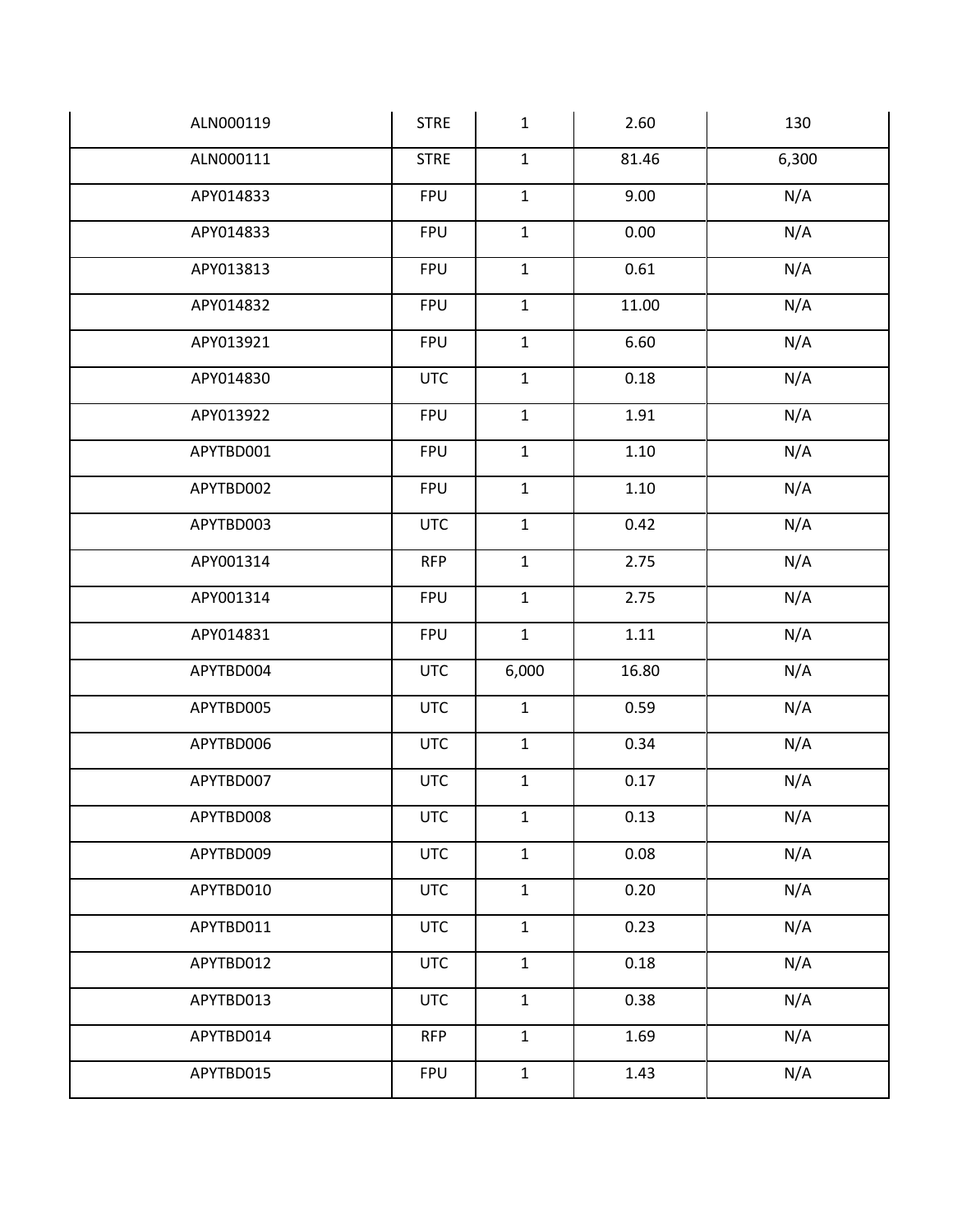| ALN000119 | <b>STRE</b> | $\mathbf{1}$ | 2.60     | 130   |
|-----------|-------------|--------------|----------|-------|
| ALN000111 | <b>STRE</b> | $\mathbf{1}$ | 81.46    | 6,300 |
| APY014833 | <b>FPU</b>  | $\mathbf 1$  | 9.00     | N/A   |
| APY014833 | <b>FPU</b>  | $\mathbf 1$  | 0.00     | N/A   |
| APY013813 | <b>FPU</b>  | $\mathbf 1$  | 0.61     | N/A   |
| APY014832 | <b>FPU</b>  | $\mathbf 1$  | 11.00    | N/A   |
| APY013921 | <b>FPU</b>  | $\mathbf 1$  | 6.60     | N/A   |
| APY014830 | <b>UTC</b>  | $\mathbf 1$  | 0.18     | N/A   |
| APY013922 | <b>FPU</b>  | $\mathbf{1}$ | 1.91     | N/A   |
| APYTBD001 | <b>FPU</b>  | $\mathbf 1$  | 1.10     | N/A   |
| APYTBD002 | <b>FPU</b>  | $\mathbf{1}$ | 1.10     | N/A   |
| APYTBD003 | <b>UTC</b>  | $\mathbf 1$  | 0.42     | N/A   |
| APY001314 | <b>RFP</b>  | $\mathbf 1$  | 2.75     | N/A   |
| APY001314 | <b>FPU</b>  | $\mathbf{1}$ | 2.75     | N/A   |
| APY014831 | <b>FPU</b>  | $\mathbf{1}$ | $1.11\,$ | N/A   |
| APYTBD004 | <b>UTC</b>  | 6,000        | 16.80    | N/A   |
| APYTBD005 | <b>UTC</b>  | $\mathbf 1$  | 0.59     | N/A   |
| APYTBD006 | <b>UTC</b>  | $\mathbf 1$  | 0.34     | N/A   |
| APYTBD007 | <b>UTC</b>  | $\mathbf{1}$ | 0.17     | N/A   |
| APYTBD008 | <b>UTC</b>  | $\mathbf{1}$ | 0.13     | N/A   |
| APYTBD009 | <b>UTC</b>  | $\mathbf{1}$ | 0.08     | N/A   |
| APYTBD010 | <b>UTC</b>  | $\mathbf{1}$ | 0.20     | N/A   |
| APYTBD011 | <b>UTC</b>  | $\mathbf{1}$ | 0.23     | N/A   |
| APYTBD012 | <b>UTC</b>  | $\mathbf{1}$ | 0.18     | N/A   |
| APYTBD013 | <b>UTC</b>  | $\mathbf{1}$ | 0.38     | N/A   |
| APYTBD014 | <b>RFP</b>  | $\mathbf{1}$ | 1.69     | N/A   |
| APYTBD015 | <b>FPU</b>  | $\mathbf{1}$ | 1.43     | N/A   |